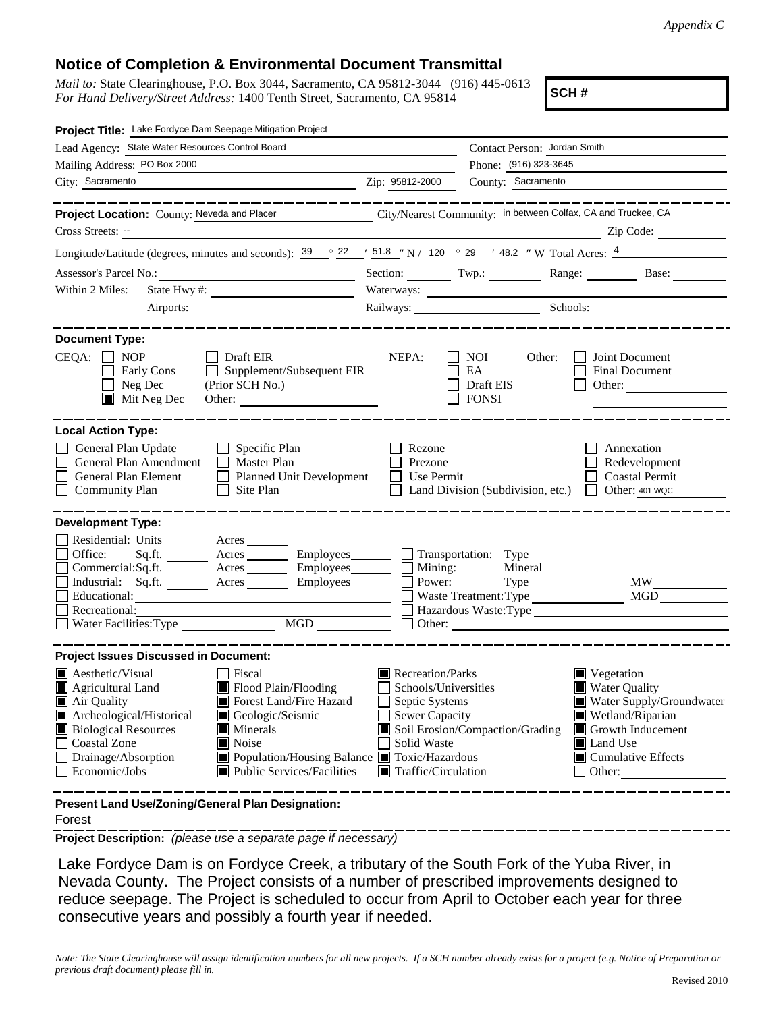## **Notice of Completion & Environmental Document Transmittal**

*Mail to:* State Clearinghouse, P.O. Box 3044, Sacramento, CA 95812-3044 (916) 445-0613 *For Hand Delivery/Street Address:* 1400 Tenth Street, Sacramento, CA 95814

**SCH #**

| Project Title: Lake Fordyce Dam Seepage Mitigation Project                                                                                                                                                                                                                                                                                                                                                |                                 |                                                                                                                                                                                                                                                                                                              |                                                                                                                                                                                                                                                                                                                                       |  |  |  |
|-----------------------------------------------------------------------------------------------------------------------------------------------------------------------------------------------------------------------------------------------------------------------------------------------------------------------------------------------------------------------------------------------------------|---------------------------------|--------------------------------------------------------------------------------------------------------------------------------------------------------------------------------------------------------------------------------------------------------------------------------------------------------------|---------------------------------------------------------------------------------------------------------------------------------------------------------------------------------------------------------------------------------------------------------------------------------------------------------------------------------------|--|--|--|
| Lead Agency: State Water Resources Control Board                                                                                                                                                                                                                                                                                                                                                          | Contact Person: Jordan Smith    |                                                                                                                                                                                                                                                                                                              |                                                                                                                                                                                                                                                                                                                                       |  |  |  |
| Mailing Address: PO Box 2000                                                                                                                                                                                                                                                                                                                                                                              |                                 | Phone: (916) 323-3645                                                                                                                                                                                                                                                                                        |                                                                                                                                                                                                                                                                                                                                       |  |  |  |
| City: Sacramento                                                                                                                                                                                                                                                                                                                                                                                          | Zip: 95812-2000                 | County: Sacramento                                                                                                                                                                                                                                                                                           |                                                                                                                                                                                                                                                                                                                                       |  |  |  |
|                                                                                                                                                                                                                                                                                                                                                                                                           |                                 |                                                                                                                                                                                                                                                                                                              |                                                                                                                                                                                                                                                                                                                                       |  |  |  |
| Project Location: County: Neveda and Placer City/Nearest Community: in between Colfax, CA and Truckee, CA                                                                                                                                                                                                                                                                                                 |                                 |                                                                                                                                                                                                                                                                                                              |                                                                                                                                                                                                                                                                                                                                       |  |  |  |
| Cross Streets: --<br><u> 1989 - Andrea State Barbara, política establecente de la propia de la propia de la propia de la propia de la</u>                                                                                                                                                                                                                                                                 |                                 |                                                                                                                                                                                                                                                                                                              | $\sum_{n=1}^{\infty}$ $\sum_{n=1}^{\infty}$ $\sum_{n=1}^{\infty}$ $\sum_{n=1}^{\infty}$ $\sum_{n=1}^{\infty}$ $\sum_{n=1}^{\infty}$ $\sum_{n=1}^{\infty}$ $\sum_{n=1}^{\infty}$ $\sum_{n=1}^{\infty}$ $\sum_{n=1}^{\infty}$ $\sum_{n=1}^{\infty}$ $\sum_{n=1}^{\infty}$ $\sum_{n=1}^{\infty}$ $\sum_{n=1}^{\infty}$ $\sum_{n=1}^{\in$ |  |  |  |
| Longitude/Latitude (degrees, minutes and seconds): $\frac{39}{22}$ $\frac{22}{51.8}$ $\frac{151.8}{2}$ N / $\frac{120}{29}$ $\frac{29}{48.2}$ N Total Acres: $\frac{4}{2}$                                                                                                                                                                                                                                |                                 |                                                                                                                                                                                                                                                                                                              |                                                                                                                                                                                                                                                                                                                                       |  |  |  |
| Assessor's Parcel No.:<br><u> 1990 - Johann Barbara, martxa alemaniar populari (</u>                                                                                                                                                                                                                                                                                                                      |                                 |                                                                                                                                                                                                                                                                                                              | Section: Twp.: Twp.: Range: Base: Base:                                                                                                                                                                                                                                                                                               |  |  |  |
| Within 2 Miles:                                                                                                                                                                                                                                                                                                                                                                                           |                                 |                                                                                                                                                                                                                                                                                                              |                                                                                                                                                                                                                                                                                                                                       |  |  |  |
|                                                                                                                                                                                                                                                                                                                                                                                                           |                                 | Railways: Schools: Schools:                                                                                                                                                                                                                                                                                  |                                                                                                                                                                                                                                                                                                                                       |  |  |  |
|                                                                                                                                                                                                                                                                                                                                                                                                           |                                 |                                                                                                                                                                                                                                                                                                              |                                                                                                                                                                                                                                                                                                                                       |  |  |  |
| <b>Document Type:</b><br>$CEQA: \Box NP$<br>$\Box$ Draft EIR<br>$\Box$ Supplement/Subsequent EIR<br>Early Cons<br>Neg Dec<br>$\blacksquare$<br>$\blacksquare$ Mit Neg Dec<br>Other:                                                                                                                                                                                                                       | NEPA:                           | NOI<br>Other:<br>EA<br>Draft EIS<br><b>FONSI</b>                                                                                                                                                                                                                                                             | Joint Document<br>Final Document<br>Other:                                                                                                                                                                                                                                                                                            |  |  |  |
| <b>Local Action Type:</b><br>General Plan Update<br>$\Box$ Specific Plan<br>General Plan Amendment<br>$\Box$ Master Plan<br>General Plan Element<br><b>Planned Unit Development</b><br>$\Box$<br><b>Community Plan</b><br>Site Plan<br>$\mathbf{L}$                                                                                                                                                       | Rezone<br>Prezone<br>Use Permit | Land Division (Subdivision, etc.)                                                                                                                                                                                                                                                                            | Annexation<br>Redevelopment<br><b>Coastal Permit</b><br>Other: 401 WQC<br>$\mathbf{I}$                                                                                                                                                                                                                                                |  |  |  |
| <b>Development Type:</b>                                                                                                                                                                                                                                                                                                                                                                                  |                                 |                                                                                                                                                                                                                                                                                                              |                                                                                                                                                                                                                                                                                                                                       |  |  |  |
| Residential: Units ________ Acres ______<br>Office:<br>Acres Employees Transportation: Type<br>Sq.fit.<br>Commercial:Sq.ft. Acres Employees Mining:<br>Industrial: Sq.ft. _______ Acres ________ Employees_______<br>Educational:<br>Recreational:<br>MGD<br>Water Facilities: Type                                                                                                                       |                                 | Mineral<br>Power:<br>Waste Treatment: Type                                                                                                                                                                                                                                                                   | <b>MW</b><br>MGD<br>Hazardous Waste:Type                                                                                                                                                                                                                                                                                              |  |  |  |
| <b>Project Issues Discussed in Document:</b>                                                                                                                                                                                                                                                                                                                                                              |                                 |                                                                                                                                                                                                                                                                                                              |                                                                                                                                                                                                                                                                                                                                       |  |  |  |
| $\blacksquare$ Aesthetic/Visual<br>Fiscal<br>■ Flood Plain/Flooding<br>Agricultural Land<br>Air Quality<br>Forest Land/Fire Hazard<br>Archeological/Historical<br>Geologic/Seismic<br><b>Biological Resources</b><br>Minerals<br><b>Coastal Zone</b><br>Noise<br>Drainage/Absorption<br>Population/Housing Balance <b>T</b> Toxic/Hazardous<br>Economic/Jobs<br>$\blacksquare$ Public Services/Facilities | Solid Waste                     | Recreation/Parks<br>Vegetation<br>Water Quality<br>Schools/Universities<br>Septic Systems<br>Water Supply/Groundwater<br>Sewer Capacity<br>Wetland/Riparian<br>Soil Erosion/Compaction/Grading<br>Growth Inducement<br>Land Use<br>$\Box$ Cumulative Effects<br>$\blacksquare$ Traffic/Circulation<br>Other: |                                                                                                                                                                                                                                                                                                                                       |  |  |  |
| Present Land Use/Zoning/General Plan Designation:                                                                                                                                                                                                                                                                                                                                                         |                                 |                                                                                                                                                                                                                                                                                                              |                                                                                                                                                                                                                                                                                                                                       |  |  |  |

Forest

**Project Description:** *(please use a separate page if necessary)*

 Lake Fordyce Dam is on Fordyce Creek, a tributary of the South Fork of the Yuba River, in Nevada County. The Project consists of a number of prescribed improvements designed to reduce seepage. The Project is scheduled to occur from April to October each year for three consecutive years and possibly a fourth year if needed.

*Note: The State Clearinghouse will assign identification numbers for all new projects. If a SCH number already exists for a project (e.g. Notice of Preparation or previous draft document) please fill in.*